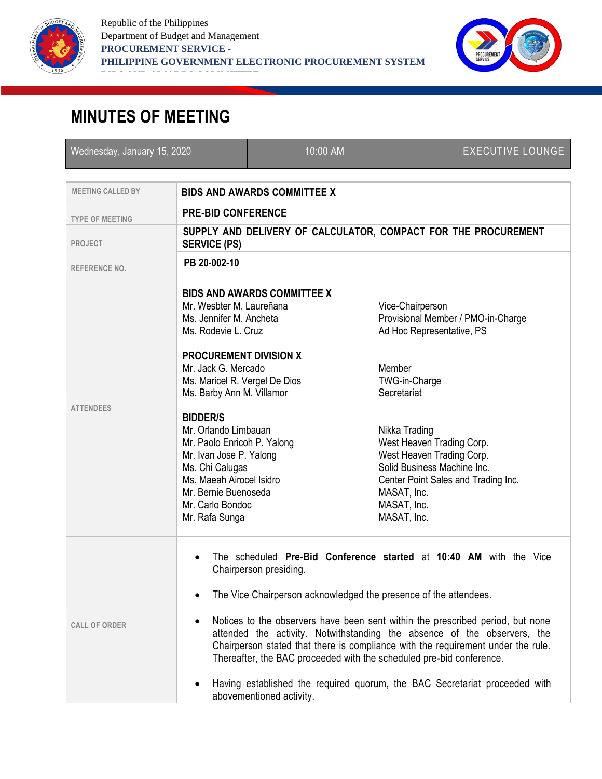



## **MINUTES OF MEETING**

| Wednesday, January 15, 2020 |                                                                                                                                                                                                                                                                                                                                                                                                                                                          |                                                    | 10:00 AM |                       | <b>EXECUTIVE LOUNGE</b>                                                                                                                                                                                                                                                                                                                                                                                                                                                                                                                        |
|-----------------------------|----------------------------------------------------------------------------------------------------------------------------------------------------------------------------------------------------------------------------------------------------------------------------------------------------------------------------------------------------------------------------------------------------------------------------------------------------------|----------------------------------------------------|----------|-----------------------|------------------------------------------------------------------------------------------------------------------------------------------------------------------------------------------------------------------------------------------------------------------------------------------------------------------------------------------------------------------------------------------------------------------------------------------------------------------------------------------------------------------------------------------------|
| <b>MEETING CALLED BY</b>    |                                                                                                                                                                                                                                                                                                                                                                                                                                                          |                                                    |          |                       |                                                                                                                                                                                                                                                                                                                                                                                                                                                                                                                                                |
|                             | <b>BIDS AND AWARDS COMMITTEE X</b>                                                                                                                                                                                                                                                                                                                                                                                                                       |                                                    |          |                       |                                                                                                                                                                                                                                                                                                                                                                                                                                                                                                                                                |
| <b>TYPE OF MEETING</b>      | <b>PRE-BID CONFERENCE</b>                                                                                                                                                                                                                                                                                                                                                                                                                                |                                                    |          |                       |                                                                                                                                                                                                                                                                                                                                                                                                                                                                                                                                                |
| <b>PROJECT</b>              | <b>SERVICE (PS)</b>                                                                                                                                                                                                                                                                                                                                                                                                                                      |                                                    |          |                       | SUPPLY AND DELIVERY OF CALCULATOR, COMPACT FOR THE PROCUREMENT                                                                                                                                                                                                                                                                                                                                                                                                                                                                                 |
| <b>REFERENCE NO.</b>        | PB 20-002-10                                                                                                                                                                                                                                                                                                                                                                                                                                             |                                                    |          |                       |                                                                                                                                                                                                                                                                                                                                                                                                                                                                                                                                                |
| <b>ATTENDEES</b>            | <b>BIDS AND AWARDS COMMITTEE X</b><br>Mr. Wesbter M. Laureñana<br>Ms. Jennifer M. Ancheta<br>Ms. Rodevie L. Cruz<br><b>PROCUREMENT DIVISION X</b><br>Mr. Jack G. Mercado<br>Ms. Maricel R. Vergel De Dios<br>Ms. Barby Ann M. Villamor<br><b>BIDDER/S</b><br>Mr. Orlando Limbauan<br>Mr. Paolo Enricoh P. Yalong<br>Mr. Ivan Jose P. Yalong<br>Ms. Chi Calugas<br>Ms. Maeah Airocel Isidro<br>Mr. Bernie Buenoseda<br>Mr. Carlo Bondoc<br>Mr. Rafa Sunga |                                                    |          | Member<br>Secretariat | Vice-Chairperson<br>Provisional Member / PMO-in-Charge<br>Ad Hoc Representative, PS<br>TWG-in-Charge<br>Nikka Trading<br>West Heaven Trading Corp.<br>West Heaven Trading Corp.<br>Solid Business Machine Inc.<br>Center Point Sales and Trading Inc.<br>MASAT, Inc.<br>MASAT, Inc.<br>MASAT, Inc.                                                                                                                                                                                                                                             |
| <b>CALL OF ORDER</b>        |                                                                                                                                                                                                                                                                                                                                                                                                                                                          | Chairperson presiding.<br>abovementioned activity. |          |                       | The scheduled Pre-Bid Conference started at 10:40 AM with the Vice<br>The Vice Chairperson acknowledged the presence of the attendees.<br>Notices to the observers have been sent within the prescribed period, but none<br>attended the activity. Notwithstanding the absence of the observers, the<br>Chairperson stated that there is compliance with the requirement under the rule.<br>Thereafter, the BAC proceeded with the scheduled pre-bid conference.<br>Having established the required quorum, the BAC Secretariat proceeded with |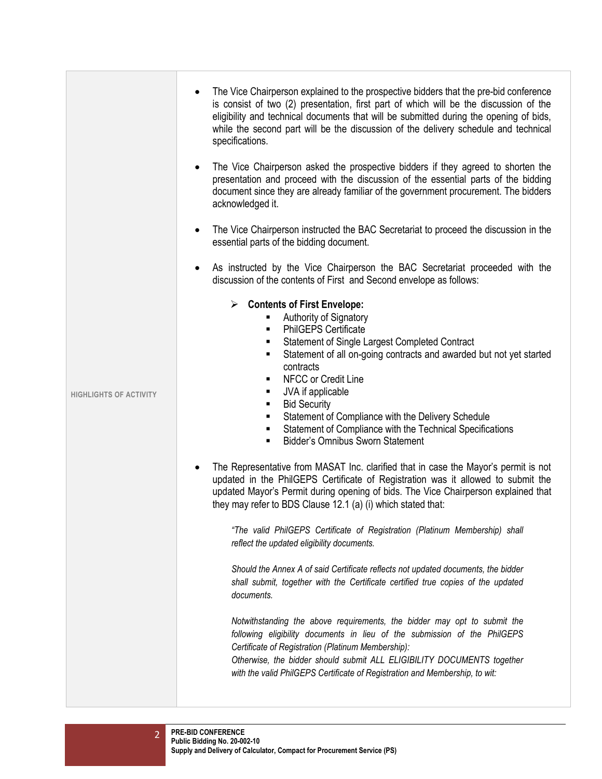|                               | The Vice Chairperson explained to the prospective bidders that the pre-bid conference<br>is consist of two (2) presentation, first part of which will be the discussion of the<br>eligibility and technical documents that will be submitted during the opening of bids,<br>while the second part will be the discussion of the delivery schedule and technical<br>specifications.<br>The Vice Chairperson asked the prospective bidders if they agreed to shorten the<br>presentation and proceed with the discussion of the essential parts of the bidding<br>document since they are already familiar of the government procurement. The bidders<br>acknowledged it.                                                                                                                                                                                                 |
|-------------------------------|-------------------------------------------------------------------------------------------------------------------------------------------------------------------------------------------------------------------------------------------------------------------------------------------------------------------------------------------------------------------------------------------------------------------------------------------------------------------------------------------------------------------------------------------------------------------------------------------------------------------------------------------------------------------------------------------------------------------------------------------------------------------------------------------------------------------------------------------------------------------------|
|                               | The Vice Chairperson instructed the BAC Secretariat to proceed the discussion in the<br>essential parts of the bidding document.                                                                                                                                                                                                                                                                                                                                                                                                                                                                                                                                                                                                                                                                                                                                        |
|                               | As instructed by the Vice Chairperson the BAC Secretariat proceeded with the<br>discussion of the contents of First and Second envelope as follows:                                                                                                                                                                                                                                                                                                                                                                                                                                                                                                                                                                                                                                                                                                                     |
| <b>HIGHLIGHTS OF ACTIVITY</b> | $\triangleright$ Contents of First Envelope:<br>Authority of Signatory<br><b>PhilGEPS Certificate</b><br>$\blacksquare$<br>Statement of Single Largest Completed Contract<br>٠<br>Statement of all on-going contracts and awarded but not yet started<br>٠<br>contracts<br>NFCC or Credit Line<br>٠<br>JVA if applicable<br>٠<br><b>Bid Security</b><br>٠<br>Statement of Compliance with the Delivery Schedule<br>٠<br>Statement of Compliance with the Technical Specifications<br>٠<br><b>Bidder's Omnibus Sworn Statement</b><br>٠<br>The Representative from MASAT Inc. clarified that in case the Mayor's permit is not<br>updated in the PhilGEPS Certificate of Registration was it allowed to submit the<br>updated Mayor's Permit during opening of bids. The Vice Chairperson explained that<br>they may refer to BDS Clause 12.1 (a) (i) which stated that: |
|                               | "The valid PhilGEPS Certificate of Registration (Platinum Membership) shall<br>reflect the updated eligibility documents.                                                                                                                                                                                                                                                                                                                                                                                                                                                                                                                                                                                                                                                                                                                                               |
|                               | Should the Annex A of said Certificate reflects not updated documents, the bidder<br>shall submit, together with the Certificate certified true copies of the updated<br>documents.                                                                                                                                                                                                                                                                                                                                                                                                                                                                                                                                                                                                                                                                                     |
|                               | Notwithstanding the above requirements, the bidder may opt to submit the<br>following eligibility documents in lieu of the submission of the PhilGEPS<br>Certificate of Registration (Platinum Membership):<br>Otherwise, the bidder should submit ALL ELIGIBILITY DOCUMENTS together<br>with the valid PhilGEPS Certificate of Registration and Membership, to wit:                                                                                                                                                                                                                                                                                                                                                                                                                                                                                                    |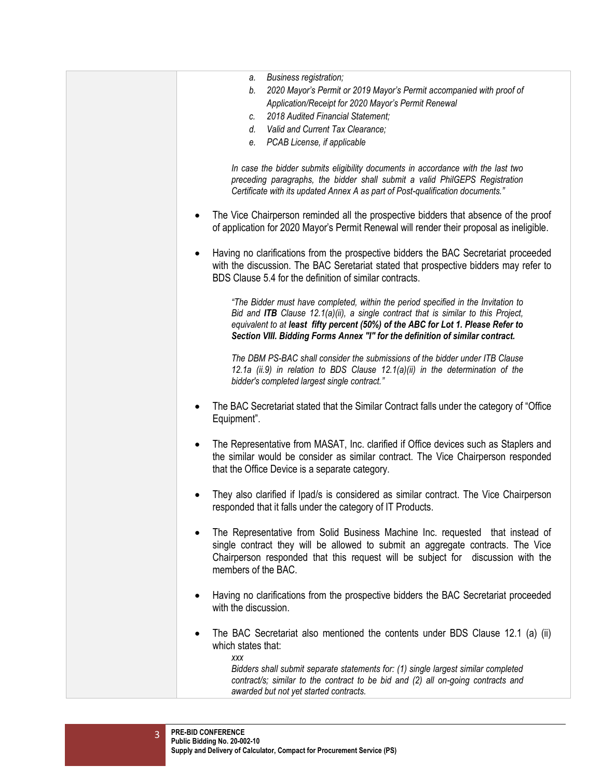| Business registration;<br>а.<br>2020 Mayor's Permit or 2019 Mayor's Permit accompanied with proof of<br>b.<br>Application/Receipt for 2020 Mayor's Permit Renewal<br>2018 Audited Financial Statement;<br>C.<br>Valid and Current Tax Clearance;<br>d.<br>PCAB License, if applicable<br>е.<br>In case the bidder submits eligibility documents in accordance with the last two<br>preceding paragraphs, the bidder shall submit a valid PhilGEPS Registration<br>Certificate with its updated Annex A as part of Post-qualification documents."<br>The Vice Chairperson reminded all the prospective bidders that absence of the proof<br>of application for 2020 Mayor's Permit Renewal will render their proposal as ineligible.<br>Having no clarifications from the prospective bidders the BAC Secretariat proceeded<br>with the discussion. The BAC Seretariat stated that prospective bidders may refer to<br>BDS Clause 5.4 for the definition of similar contracts.<br>"The Bidder must have completed, within the period specified in the Invitation to<br>Bid and ITB Clause 12.1(a)(ii), a single contract that is similar to this Project,<br>equivalent to at least fifty percent (50%) of the ABC for Lot 1. Please Refer to<br>Section VIII. Bidding Forms Annex "I" for the definition of similar contract.<br>The DBM PS-BAC shall consider the submissions of the bidder under ITB Clause<br>12.1a (ii.9) in relation to BDS Clause 12.1(a)(ii) in the determination of the<br>bidder's completed largest single contract."<br>The BAC Secretariat stated that the Similar Contract falls under the category of "Office"<br>Equipment".<br>The Representative from MASAT, Inc. clarified if Office devices such as Staplers and<br>٠<br>the similar would be consider as similar contract. The Vice Chairperson responded<br>that the Office Device is a separate category.<br>They also clarified if Ipad/s is considered as similar contract. The Vice Chairperson<br>responded that it falls under the category of IT Products.<br>The Representative from Solid Business Machine Inc. requested that instead of<br>single contract they will be allowed to submit an aggregate contracts. The Vice<br>Chairperson responded that this request will be subject for discussion with the<br>members of the BAC.<br>Having no clarifications from the prospective bidders the BAC Secretariat proceeded<br>with the discussion.<br>The BAC Secretariat also mentioned the contents under BDS Clause 12.1 (a) (ii)<br>which states that:<br><b>XXX</b><br>Bidders shall submit separate statements for: (1) single largest similar completed<br>contract/s; similar to the contract to be bid and (2) all on-going contracts and<br>awarded but not yet started contracts. |  |
|-----------------------------------------------------------------------------------------------------------------------------------------------------------------------------------------------------------------------------------------------------------------------------------------------------------------------------------------------------------------------------------------------------------------------------------------------------------------------------------------------------------------------------------------------------------------------------------------------------------------------------------------------------------------------------------------------------------------------------------------------------------------------------------------------------------------------------------------------------------------------------------------------------------------------------------------------------------------------------------------------------------------------------------------------------------------------------------------------------------------------------------------------------------------------------------------------------------------------------------------------------------------------------------------------------------------------------------------------------------------------------------------------------------------------------------------------------------------------------------------------------------------------------------------------------------------------------------------------------------------------------------------------------------------------------------------------------------------------------------------------------------------------------------------------------------------------------------------------------------------------------------------------------------------------------------------------------------------------------------------------------------------------------------------------------------------------------------------------------------------------------------------------------------------------------------------------------------------------------------------------------------------------------------------------------------------------------------------------------------------------------------------------------------------------------------------------------------------------------------------------------------------------------------------------------------------------------------------------------------------------------------------------------------------------------------------------------------------------------------------------------------------------------------------------|--|
|                                                                                                                                                                                                                                                                                                                                                                                                                                                                                                                                                                                                                                                                                                                                                                                                                                                                                                                                                                                                                                                                                                                                                                                                                                                                                                                                                                                                                                                                                                                                                                                                                                                                                                                                                                                                                                                                                                                                                                                                                                                                                                                                                                                                                                                                                                                                                                                                                                                                                                                                                                                                                                                                                                                                                                                               |  |
|                                                                                                                                                                                                                                                                                                                                                                                                                                                                                                                                                                                                                                                                                                                                                                                                                                                                                                                                                                                                                                                                                                                                                                                                                                                                                                                                                                                                                                                                                                                                                                                                                                                                                                                                                                                                                                                                                                                                                                                                                                                                                                                                                                                                                                                                                                                                                                                                                                                                                                                                                                                                                                                                                                                                                                                               |  |
|                                                                                                                                                                                                                                                                                                                                                                                                                                                                                                                                                                                                                                                                                                                                                                                                                                                                                                                                                                                                                                                                                                                                                                                                                                                                                                                                                                                                                                                                                                                                                                                                                                                                                                                                                                                                                                                                                                                                                                                                                                                                                                                                                                                                                                                                                                                                                                                                                                                                                                                                                                                                                                                                                                                                                                                               |  |
|                                                                                                                                                                                                                                                                                                                                                                                                                                                                                                                                                                                                                                                                                                                                                                                                                                                                                                                                                                                                                                                                                                                                                                                                                                                                                                                                                                                                                                                                                                                                                                                                                                                                                                                                                                                                                                                                                                                                                                                                                                                                                                                                                                                                                                                                                                                                                                                                                                                                                                                                                                                                                                                                                                                                                                                               |  |
|                                                                                                                                                                                                                                                                                                                                                                                                                                                                                                                                                                                                                                                                                                                                                                                                                                                                                                                                                                                                                                                                                                                                                                                                                                                                                                                                                                                                                                                                                                                                                                                                                                                                                                                                                                                                                                                                                                                                                                                                                                                                                                                                                                                                                                                                                                                                                                                                                                                                                                                                                                                                                                                                                                                                                                                               |  |
|                                                                                                                                                                                                                                                                                                                                                                                                                                                                                                                                                                                                                                                                                                                                                                                                                                                                                                                                                                                                                                                                                                                                                                                                                                                                                                                                                                                                                                                                                                                                                                                                                                                                                                                                                                                                                                                                                                                                                                                                                                                                                                                                                                                                                                                                                                                                                                                                                                                                                                                                                                                                                                                                                                                                                                                               |  |
|                                                                                                                                                                                                                                                                                                                                                                                                                                                                                                                                                                                                                                                                                                                                                                                                                                                                                                                                                                                                                                                                                                                                                                                                                                                                                                                                                                                                                                                                                                                                                                                                                                                                                                                                                                                                                                                                                                                                                                                                                                                                                                                                                                                                                                                                                                                                                                                                                                                                                                                                                                                                                                                                                                                                                                                               |  |
|                                                                                                                                                                                                                                                                                                                                                                                                                                                                                                                                                                                                                                                                                                                                                                                                                                                                                                                                                                                                                                                                                                                                                                                                                                                                                                                                                                                                                                                                                                                                                                                                                                                                                                                                                                                                                                                                                                                                                                                                                                                                                                                                                                                                                                                                                                                                                                                                                                                                                                                                                                                                                                                                                                                                                                                               |  |
|                                                                                                                                                                                                                                                                                                                                                                                                                                                                                                                                                                                                                                                                                                                                                                                                                                                                                                                                                                                                                                                                                                                                                                                                                                                                                                                                                                                                                                                                                                                                                                                                                                                                                                                                                                                                                                                                                                                                                                                                                                                                                                                                                                                                                                                                                                                                                                                                                                                                                                                                                                                                                                                                                                                                                                                               |  |
|                                                                                                                                                                                                                                                                                                                                                                                                                                                                                                                                                                                                                                                                                                                                                                                                                                                                                                                                                                                                                                                                                                                                                                                                                                                                                                                                                                                                                                                                                                                                                                                                                                                                                                                                                                                                                                                                                                                                                                                                                                                                                                                                                                                                                                                                                                                                                                                                                                                                                                                                                                                                                                                                                                                                                                                               |  |
|                                                                                                                                                                                                                                                                                                                                                                                                                                                                                                                                                                                                                                                                                                                                                                                                                                                                                                                                                                                                                                                                                                                                                                                                                                                                                                                                                                                                                                                                                                                                                                                                                                                                                                                                                                                                                                                                                                                                                                                                                                                                                                                                                                                                                                                                                                                                                                                                                                                                                                                                                                                                                                                                                                                                                                                               |  |
|                                                                                                                                                                                                                                                                                                                                                                                                                                                                                                                                                                                                                                                                                                                                                                                                                                                                                                                                                                                                                                                                                                                                                                                                                                                                                                                                                                                                                                                                                                                                                                                                                                                                                                                                                                                                                                                                                                                                                                                                                                                                                                                                                                                                                                                                                                                                                                                                                                                                                                                                                                                                                                                                                                                                                                                               |  |
|                                                                                                                                                                                                                                                                                                                                                                                                                                                                                                                                                                                                                                                                                                                                                                                                                                                                                                                                                                                                                                                                                                                                                                                                                                                                                                                                                                                                                                                                                                                                                                                                                                                                                                                                                                                                                                                                                                                                                                                                                                                                                                                                                                                                                                                                                                                                                                                                                                                                                                                                                                                                                                                                                                                                                                                               |  |

3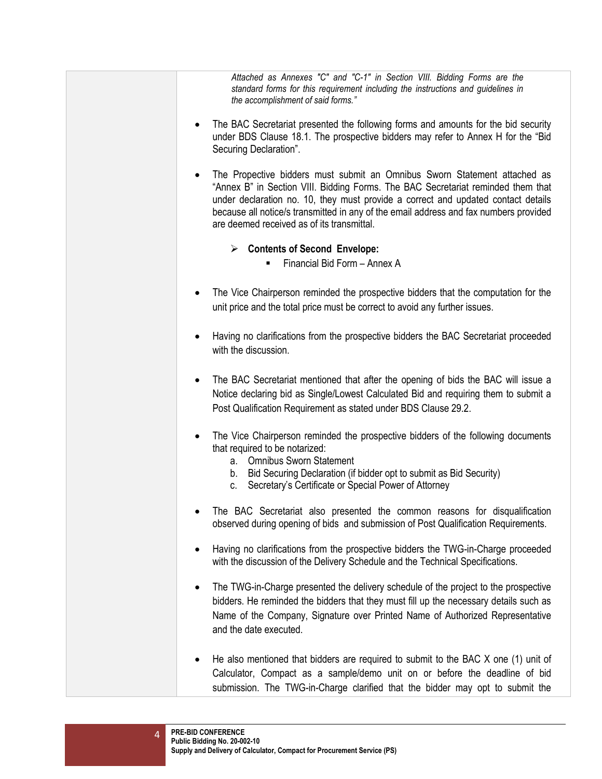*Attached as Annexes "C" and "C-1" in Section VIII. Bidding Forms are the standard forms for this requirement including the instructions and guidelines in the accomplishment of said forms."*

- The BAC Secretariat presented the following forms and amounts for the bid security under BDS Clause 18.1. The prospective bidders may refer to Annex H for the "Bid Securing Declaration".
- The Propective bidders must submit an Omnibus Sworn Statement attached as "Annex B" in Section VIII. Bidding Forms. The BAC Secretariat reminded them that under declaration no. 10, they must provide a correct and updated contact details because all notice/s transmitted in any of the email address and fax numbers provided are deemed received as of its transmittal.
	- **Contents of Second Envelope:** 
		- $\blacksquare$  Financial Bid Form Annex A
- The Vice Chairperson reminded the prospective bidders that the computation for the unit price and the total price must be correct to avoid any further issues.
- Having no clarifications from the prospective bidders the BAC Secretariat proceeded with the discussion.
- The BAC Secretariat mentioned that after the opening of bids the BAC will issue a Notice declaring bid as Single/Lowest Calculated Bid and requiring them to submit a Post Qualification Requirement as stated under BDS Clause 29.2.
- The Vice Chairperson reminded the prospective bidders of the following documents that required to be notarized:
	- a. Omnibus Sworn Statement
	- b. Bid Securing Declaration (if bidder opt to submit as Bid Security)
	- c. Secretary's Certificate or Special Power of Attorney
- The BAC Secretariat also presented the common reasons for disqualification observed during opening of bids and submission of Post Qualification Requirements.
- Having no clarifications from the prospective bidders the TWG-in-Charge proceeded with the discussion of the Delivery Schedule and the Technical Specifications.
- The TWG-in-Charge presented the delivery schedule of the project to the prospective bidders. He reminded the bidders that they must fill up the necessary details such as Name of the Company, Signature over Printed Name of Authorized Representative and the date executed.
- He also mentioned that bidders are required to submit to the BAC X one (1) unit of Calculator, Compact as a sample/demo unit on or before the deadline of bid submission. The TWG-in-Charge clarified that the bidder may opt to submit the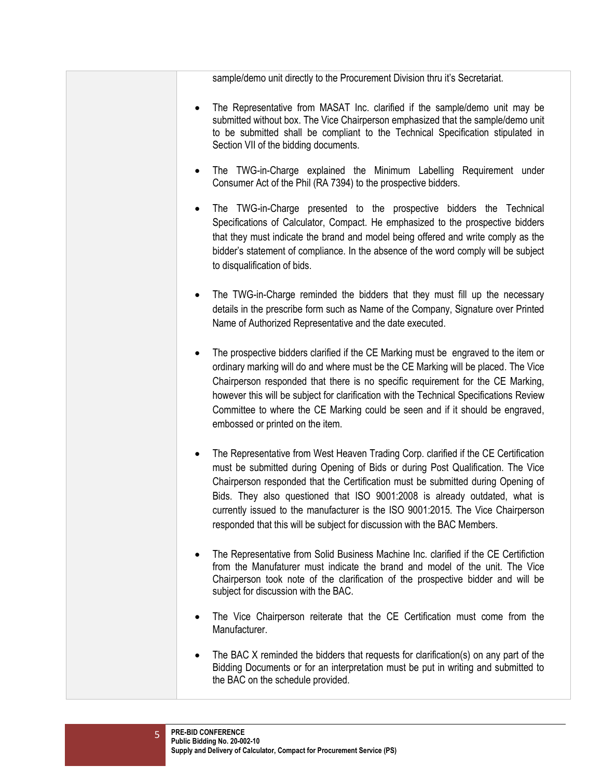sample/demo unit directly to the Procurement Division thru it's Secretariat.

- The Representative from MASAT Inc. clarified if the sample/demo unit may be submitted without box. The Vice Chairperson emphasized that the sample/demo unit to be submitted shall be compliant to the Technical Specification stipulated in Section VII of the bidding documents.
- The TWG-in-Charge explained the Minimum Labelling Requirement under Consumer Act of the Phil (RA 7394) to the prospective bidders.
- The TWG-in-Charge presented to the prospective bidders the Technical Specifications of Calculator, Compact. He emphasized to the prospective bidders that they must indicate the brand and model being offered and write comply as the bidder's statement of compliance. In the absence of the word comply will be subject to disqualification of bids.
- The TWG-in-Charge reminded the bidders that they must fill up the necessary details in the prescribe form such as Name of the Company, Signature over Printed Name of Authorized Representative and the date executed.
- The prospective bidders clarified if the CE Marking must be engraved to the item or ordinary marking will do and where must be the CE Marking will be placed. The Vice Chairperson responded that there is no specific requirement for the CE Marking, however this will be subject for clarification with the Technical Specifications Review Committee to where the CE Marking could be seen and if it should be engraved, embossed or printed on the item.
- The Representative from West Heaven Trading Corp. clarified if the CE Certification must be submitted during Opening of Bids or during Post Qualification. The Vice Chairperson responded that the Certification must be submitted during Opening of Bids. They also questioned that ISO 9001:2008 is already outdated, what is currently issued to the manufacturer is the ISO 9001:2015. The Vice Chairperson responded that this will be subject for discussion with the BAC Members.
- The Representative from Solid Business Machine Inc. clarified if the CE Certifiction from the Manufaturer must indicate the brand and model of the unit. The Vice Chairperson took note of the clarification of the prospective bidder and will be subject for discussion with the BAC.
- The Vice Chairperson reiterate that the CE Certification must come from the Manufacturer.
- The BAC X reminded the bidders that requests for clarification(s) on any part of the Bidding Documents or for an interpretation must be put in writing and submitted to the BAC on the schedule provided.